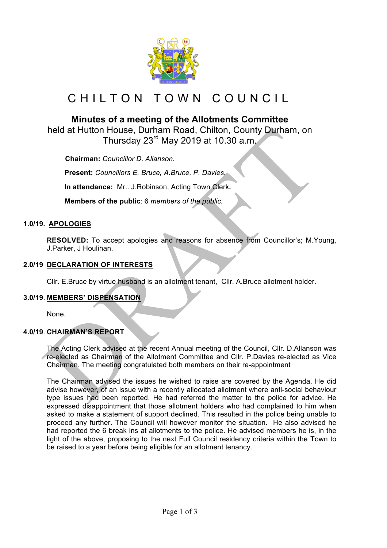

# CHILTON TOWN COUNCIL

# **Minutes of a meeting of the Allotments Committee**

held at Hutton House, Durham Road, Chilton, County Durham, on Thursday 23 $^{\text{rd}}$  May 2019 at 10.30 a.m.

 **Chairman:** *Councillor D. Allanson.*

**Present:** *Councillors E. Bruce, A.Bruce, P. Davies.*

**In attendance:** Mr.. J.Robinson, Acting Town Clerk**.**

 **Members of the public**: 6 *members of the public.*

#### **1.0/19. APOLOGIES**

**RESOLVED:** To accept apologies and reasons for absence from Councillor's; M.Young, J.Parker, J Houlihan.

# **2.0/19 DECLARATION OF INTERESTS**

Cllr. E.Bruce by virtue husband is an allotment tenant, Cllr. A.Bruce allotment holder.

#### **3.0/19**. **MEMBERS' DISPENSATION**

None.

# **4.0/19**. **CHAIRMAN'S REPORT**

The Acting Clerk advised at the recent Annual meeting of the Council, Cllr. D.Allanson was re-elected as Chairman of the Allotment Committee and Cllr. P.Davies re-elected as Vice Chairman. The meeting congratulated both members on their re-appointment

The Chairman advised the issues he wished to raise are covered by the Agenda. He did advise however, of an issue with a recently allocated allotment where anti-social behaviour type issues had been reported. He had referred the matter to the police for advice. He expressed disappointment that those allotment holders who had complained to him when asked to make a statement of support declined. This resulted in the police being unable to proceed any further. The Council will however monitor the situation. He also advised he had reported the 6 break ins at allotments to the police. He advised members he is, in the light of the above, proposing to the next Full Council residency criteria within the Town to be raised to a year before being eligible for an allotment tenancy.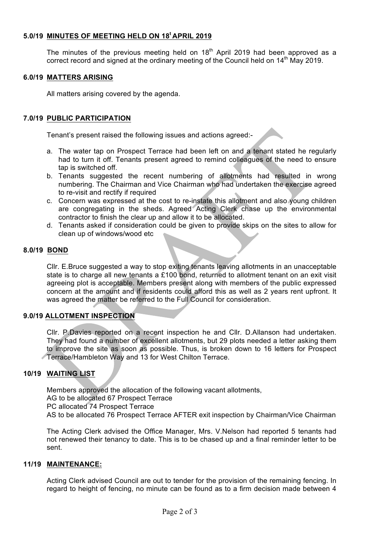# **5.0/19 MINUTES OF MEETING HELD ON 18<sup>t</sup> APRIL 2019**

The minutes of the previous meeting held on  $18<sup>th</sup>$  April 2019 had been approved as a correct record and signed at the ordinary meeting of the Council held on 14<sup>th</sup> May 2019.

#### **6.0/19 MATTERS ARISING**

All matters arising covered by the agenda.

# **7.0/19 PUBLIC PARTICIPATION**

Tenant's present raised the following issues and actions agreed:-

- a. The water tap on Prospect Terrace had been left on and a tenant stated he regularly had to turn it off. Tenants present agreed to remind colleagues of the need to ensure tap is switched off.
- b. Tenants suggested the recent numbering of allotments had resulted in wrong numbering. The Chairman and Vice Chairman who had undertaken the exercise agreed to re-visit and rectify if required
- c. Concern was expressed at the cost to re-instate this allotment and also young children are congregating in the sheds. Agreed Acting Clerk chase up the environmental contractor to finish the clear up and allow it to be allocated.
- d. Tenants asked if consideration could be given to provide skips on the sites to allow for clean up of windows/wood etc

#### **8.0/19 BOND**

Cllr. E.Bruce suggested a way to stop exiting tenants leaving allotments in an unacceptable state is to charge all new tenants a £100 bond, returned to allotment tenant on an exit visit agreeing plot is acceptable. Members present along with members of the public expressed concern at the amount and if residents could afford this as well as 2 years rent upfront. It was agreed the matter be referred to the Full Council for consideration.

#### **9.0/19 ALLOTMENT INSPECTION**

Cllr. P.Davies reported on a recent inspection he and Cllr. D.Allanson had undertaken. They had found a number of excellent allotments, but 29 plots needed a letter asking them to improve the site as soon as possible. Thus, is broken down to 16 letters for Prospect Terrace/Hambleton Way and 13 for West Chilton Terrace.

# **10/19 WAITING LIST**

Members approved the allocation of the following vacant allotments, AG to be allocated 67 Prospect Terrace PC allocated 74 Prospect Terrace AS to be allocated 76 Prospect Terrace AFTER exit inspection by Chairman/Vice Chairman

The Acting Clerk advised the Office Manager, Mrs. V.Nelson had reported 5 tenants had not renewed their tenancy to date. This is to be chased up and a final reminder letter to be sent.

#### **11/19 MAINTENANCE:**

Acting Clerk advised Council are out to tender for the provision of the remaining fencing. In regard to height of fencing, no minute can be found as to a firm decision made between 4